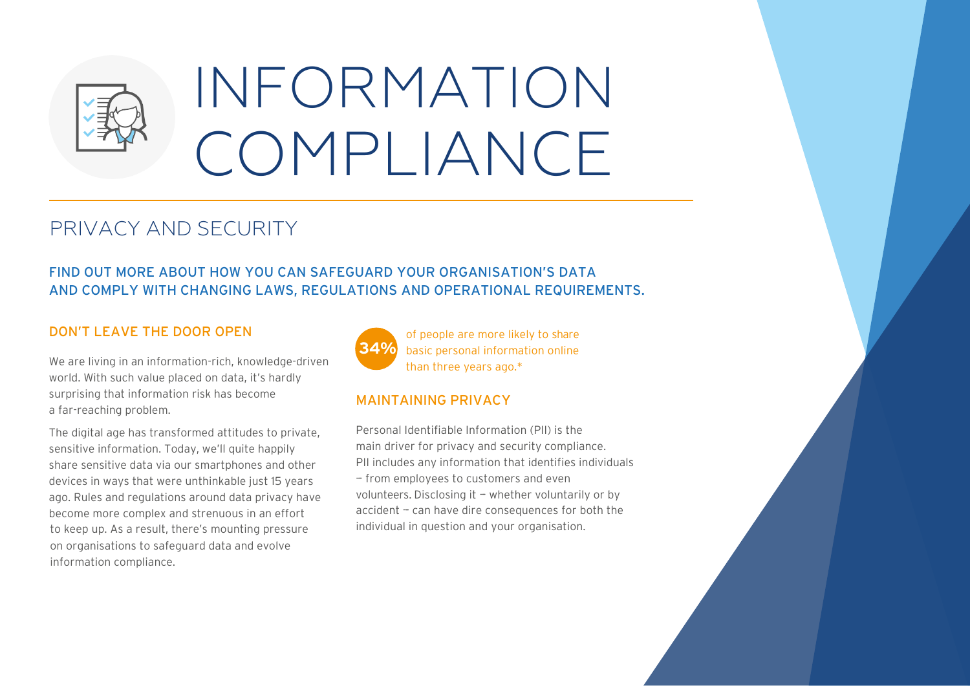

# INFORMATION COMPLIANCE

## PRIVACY AND SECURITY

## FIND OUT MORE ABOUT HOW YOU CAN SAFEGUARD YOUR ORGANISATION'S DATA AND COMPLY WITH CHANGING LAWS, REGULATIONS AND OPERATIONAL REQUIREMENTS.

## DON'T LEAVE THE DOOR OPEN

We are living in an information-rich, knowledge-driven world. With such value placed on data, it's hardly surprising that information risk has become a far-reaching problem.

The digital age has transformed attitudes to private, sensitive information. Today, we'll quite happily share sensitive data via our smartphones and other devices in ways that were unthinkable just 15 years ago. Rules and regulations around data privacy have become more complex and strenuous in an effort to keep up. As a result, there's mounting pressure on organisations to safeguard data and evolve information compliance.



of people are more likely to share basic personal information online than three years ago.\*

## MAINTAINING PRIVACY

Personal Identifiable Information (PII) is the main driver for privacy and security compliance. PII includes any information that identifies individuals - from employees to customers and even volunteers. Disclosing it  $-$  whether voluntarily or by accident - can have dire consequences for both the individual in question and your organisation.